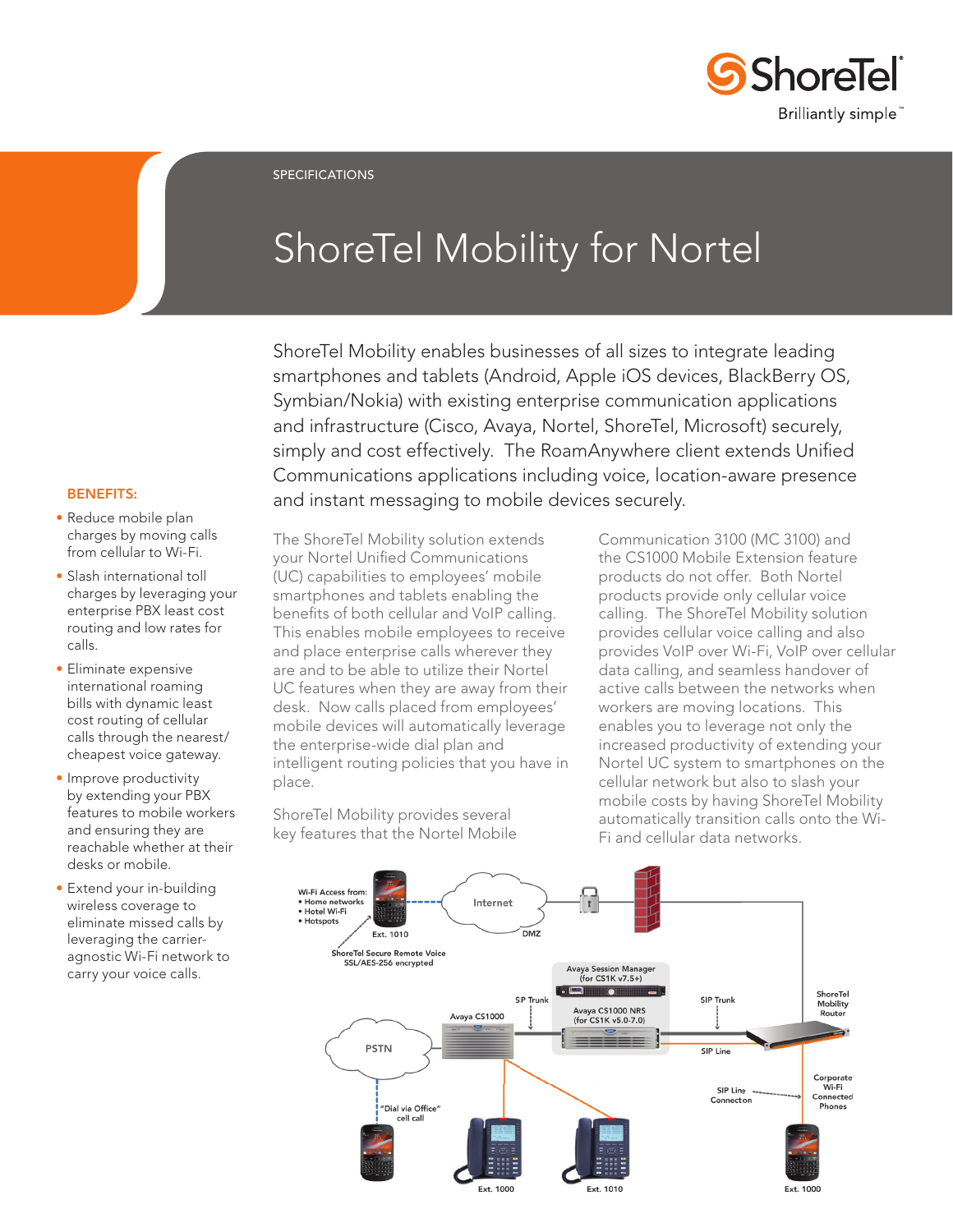

SPECIFICATIONS

# ShoreTel Mobility for Nortel

ShoreTel Mobility enables businesses of all sizes to integrate leading smartphones and tablets (Android, Apple iOS devices, BlackBerry OS, Symbian/Nokia) with existing enterprise communication applications and infrastructure (Cisco, Avaya, Nortel, ShoreTel, Microsoft) securely, simply and cost effectively. The RoamAnywhere client extends Unified Communications applications including voice, location-aware presence and instant messaging to mobile devices securely.

# BENEFITS:

- Reduce mobile plan charges by moving calls from cellular to Wi-Fi.
- Slash international toll charges by leveraging your enterprise PBX least cost routing and low rates for calls.
- Eliminate expensive international roaming bills with dynamic least cost routing of cellular calls through the nearest/ cheapest voice gateway.
- Improve productivity by extending your PBX features to mobile workers and ensuring they are reachable whether at their desks or mobile.
- Extend your in-building wireless coverage to eliminate missed calls by leveraging the carrieragnostic Wi-Fi network to carry your voice calls.

The ShoreTel Mobility solution extends your Nortel Unified Communications (UC) capabilities to employees' mobile smartphones and tablets enabling the benefits of both cellular and VoIP calling. This enables mobile employees to receive and place enterprise calls wherever they are and to be able to utilize their Nortel UC features when they are away from their desk. Now calls placed from employees' mobile devices will automatically leverage the enterprise-wide dial plan and intelligent routing policies that you have in place.

ShoreTel Mobility provides several key features that the Nortel Mobile Communication 3100 (MC 3100) and the CS1000 Mobile Extension feature products do not offer. Both Nortel products provide only cellular voice calling. The ShoreTel Mobility solution provides cellular voice calling and also provides VoIP over Wi-Fi, VoIP over cellular data calling, and seamless handover of active calls between the networks when workers are moving locations. This enables you to leverage not only the increased productivity of extending your Nortel UC system to smartphones on the cellular network but also to slash your mobile costs by having ShoreTel Mobility automatically transition calls onto the Wi-Fi and cellular data networks.